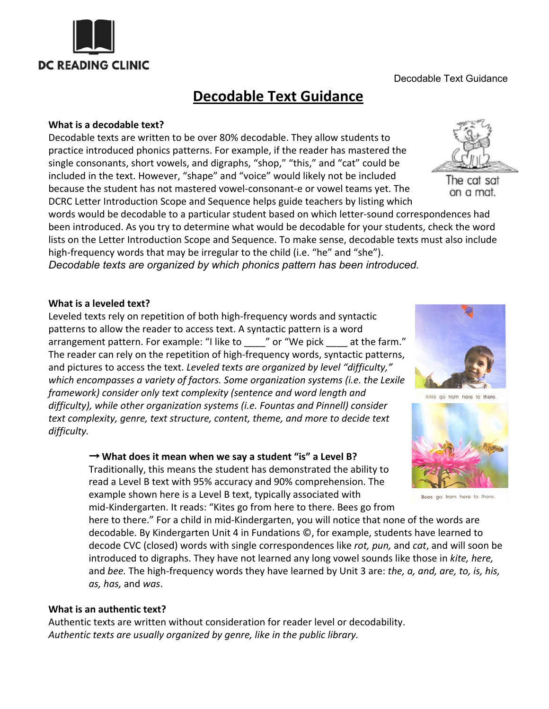

Decodable Text Guidance

# **Decodable Text Guidance**

## **What is a decodable text?**

Decodable texts are written to be over 80% decodable. They allow students to practice introduced phonics patterns. For example, if the reader has mastered the single consonants, short vowels, and digraphs, "shop," "this," and "cat" could be included in the text. However, "shape" and "voice" would likely not be included because the student has not mastered vowel-consonant-e or vowel teams yet. The DCRC Letter Introduction Scope and Sequence helps guide teachers by listing which

words would be decodable to a particular student based on which letter-sound correspondences had been introduced. As you try to determine what would be decodable for your students, check the word lists on the Letter Introduction Scope and Sequence. To make sense, decodable texts must also include high-frequency words that may be irregular to the child (i.e. "he" and "she").

*Decodable texts are organized by which phonics pattern has been introduced.*

# **What is a leveled text?**

Leveled texts rely on repetition of both high-frequency words and syntactic patterns to allow the reader to access text. A syntactic pattern is a word arrangement pattern. For example: "I like to \_\_\_\_" or "We pick \_\_\_\_ at the farm." The reader can rely on the repetition of high-frequency words, syntactic patterns, and pictures to access the text. *Leveled texts are organized by level "difficulty," which encompasses a variety of factors. Some organization systems (i.e. the Lexile framework) consider only text complexity (sentence and word length and difficulty), while other organization systems (i.e. Fountas and Pinnell) consider text complexity, genre, text structure, content, theme, and more to decide text difficulty.*

## → **What does it mean when we say a student "is" a Level B?**



here to there." For a child in mid-Kindergarten, you will notice that none of the words are decodable. By Kindergarten Unit 4 in Fundations ©, for example, students have learned to decode CVC (closed) words with single correspondences like *rot, pun,* and *cat*, and will soon be introduced to digraphs. They have not learned any long vowel sounds like those in *kite, here,* and *bee.* The high-frequency words they have learned by Unit 3 are: *the, a, and, are, to, is, his, as, has,* and *was*.

## **What is an authentic text?**

Authentic texts are written without consideration for reader level or decodability. *Authentic texts are usually organized by genre, like in the public library.*



The cat sat on a mat.



Kites go from here to there



Bees go from here to there